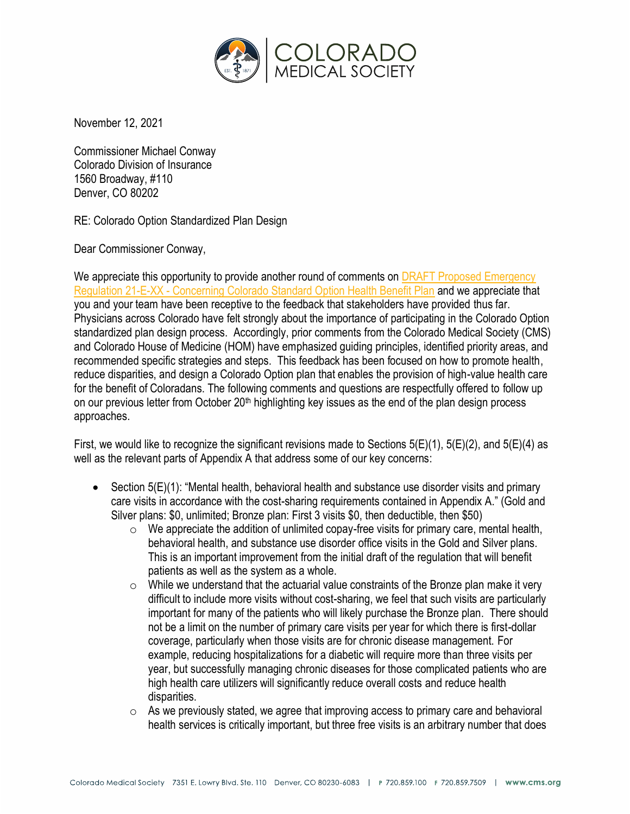

November 12, 2021

Commissioner Michael Conway Colorado Division of Insurance 1560 Broadway, #110 Denver, CO 80202

RE: Colorado Option Standardized Plan Design

Dear Commissioner Conway,

We appreciate this opportunity to provide another round of comments on DRAFT Proposed Emergency Regulation 21-E-XX - [Concerning Colorado Standard Option Health Benefit Plan](https://lnks.gd/l/eyJhbGciOiJIUzI1NiJ9.eyJidWxsZXRpbl9saW5rX2lkIjoxMDEsInVyaSI6ImJwMjpjbGljayIsImJ1bGxldGluX2lkIjoiMjAyMTExMDIuNDgyODc1NzEiLCJ1cmwiOiJodHRwczovL2RyaXZlLmdvb2dsZS5jb20vZmlsZS9kLzFfYnUxdUFrYmJhTjh0eEtNNmRoWFRaanViMjRaZ2p1Ny92aWV3P3V0bV9tZWRpdW09ZW1haWwmdXRtX3NvdXJjZT1nb3ZkZWxpdmVyeSJ9.PWmvVvx-h_B-URRD3JPyfkepz9ykHnA_ZlIyj5Igzu4/s/943852758/br/116511890480-l) and we appreciate that you and your team have been receptive to the feedback that stakeholders have provided thus far. Physicians across Colorado have felt strongly about the importance of participating in the Colorado Option standardized plan design process. Accordingly, prior comments from the Colorado Medical Society (CMS) and Colorado House of Medicine (HOM) have emphasized guiding principles, identified priority areas, and recommended specific strategies and steps. This feedback has been focused on how to promote health, reduce disparities, and design a Colorado Option plan that enables the provision of high-value health care for the benefit of Coloradans. The following comments and questions are respectfully offered to follow up on our previous letter from October 20<sup>th</sup> highlighting key issues as the end of the plan design process approaches.

First, we would like to recognize the significant revisions made to Sections  $5(E)(1)$ ,  $5(E)(2)$ , and  $5(E)(4)$  as well as the relevant parts of Appendix A that address some of our key concerns:

- Section 5(E)(1): "Mental health, behavioral health and substance use disorder visits and primary care visits in accordance with the cost-sharing requirements contained in Appendix A." (Gold and Silver plans: \$0, unlimited; Bronze plan: First 3 visits \$0, then deductible, then \$50)
	- $\circ$  We appreciate the addition of unlimited copay-free visits for primary care, mental health, behavioral health, and substance use disorder office visits in the Gold and Silver plans. This is an important improvement from the initial draft of the regulation that will benefit patients as well as the system as a whole.
	- $\circ$  While we understand that the actuarial value constraints of the Bronze plan make it very difficult to include more visits without cost-sharing, we feel that such visits are particularly important for many of the patients who will likely purchase the Bronze plan. There should not be a limit on the number of primary care visits per year for which there is first-dollar coverage, particularly when those visits are for chronic disease management. For example, reducing hospitalizations for a diabetic will require more than three visits per year, but successfully managing chronic diseases for those complicated patients who are high health care utilizers will significantly reduce overall costs and reduce health disparities.
	- $\circ$  As we previously stated, we agree that improving access to primary care and behavioral health services is critically important, but three free visits is an arbitrary number that does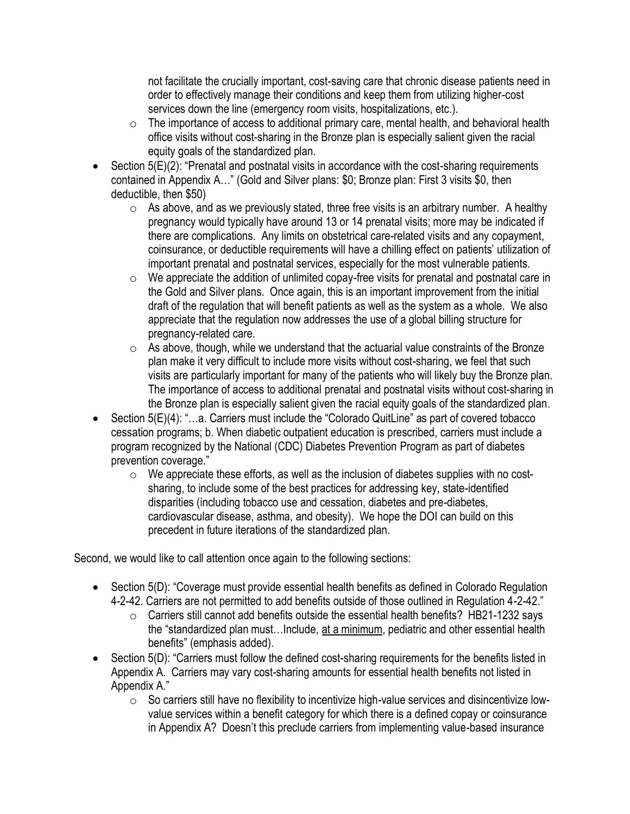not facilitate the crucially important, cost-saving care that chronic disease patients need in order to effectively manage their conditions and keep them from utilizing higher-cost services down the line (emergency room visits, hospitalizations, etc.).

- $\circ$  The importance of access to additional primary care, mental health, and behavioral health office visits without cost-sharing in the Bronze plan is especially salient given the racial equity goals of the standardized plan.
- Section 5(E)(2): "Prenatal and postnatal visits in accordance with the cost-sharing requirements contained in Appendix A…" (Gold and Silver plans: \$0; Bronze plan: First 3 visits \$0, then deductible, then \$50)
	- $\circ$  As above, and as we previously stated, three free visits is an arbitrary number. A healthy pregnancy would typically have around 13 or 14 prenatal visits; more may be indicated if there are complications. Any limits on obstetrical care-related visits and any copayment, coinsurance, or deductible requirements will have a chilling effect on patients' utilization of important prenatal and postnatal services, especially for the most vulnerable patients.
	- $\circ$  We appreciate the addition of unlimited copay-free visits for prenatal and postnatal care in the Gold and Silver plans. Once again, this is an important improvement from the initial draft of the regulation that will benefit patients as well as the system as a whole. We also appreciate that the regulation now addresses the use of a global billing structure for pregnancy-related care.
	- $\circ$  As above, though, while we understand that the actuarial value constraints of the Bronze plan make it very difficult to include more visits without cost-sharing, we feel that such visits are particularly important for many of the patients who will likely buy the Bronze plan. The importance of access to additional prenatal and postnatal visits without cost-sharing in the Bronze plan is especially salient given the racial equity goals of the standardized plan.
- Section 5(E)(4): "…a. Carriers must include the "Colorado QuitLine" as part of covered tobacco cessation programs; b. When diabetic outpatient education is prescribed, carriers must include a program recognized by the National (CDC) Diabetes Prevention Program as part of diabetes prevention coverage."
	- $\circ$  We appreciate these efforts, as well as the inclusion of diabetes supplies with no costsharing, to include some of the best practices for addressing key, state-identified disparities (including tobacco use and cessation, diabetes and pre-diabetes, cardiovascular disease, asthma, and obesity). We hope the DOI can build on this precedent in future iterations of the standardized plan.

Second, we would like to call attention once again to the following sections:

- Section 5(D): "Coverage must provide essential health benefits as defined in Colorado Regulation 4-2-42. Carriers are not permitted to add benefits outside of those outlined in Regulation 4-2-42."
	- o Carriers still cannot add benefits outside the essential health benefits? HB21-1232 says the "standardized plan must…Include, at a minimum, pediatric and other essential health benefits" (emphasis added).
- Section 5(D): "Carriers must follow the defined cost-sharing requirements for the benefits listed in Appendix A. Carriers may vary cost-sharing amounts for essential health benefits not listed in Appendix A."
	- $\circ$  So carriers still have no flexibility to incentivize high-value services and disincentivize lowvalue services within a benefit category for which there is a defined copay or coinsurance in Appendix A? Doesn't this preclude carriers from implementing value-based insurance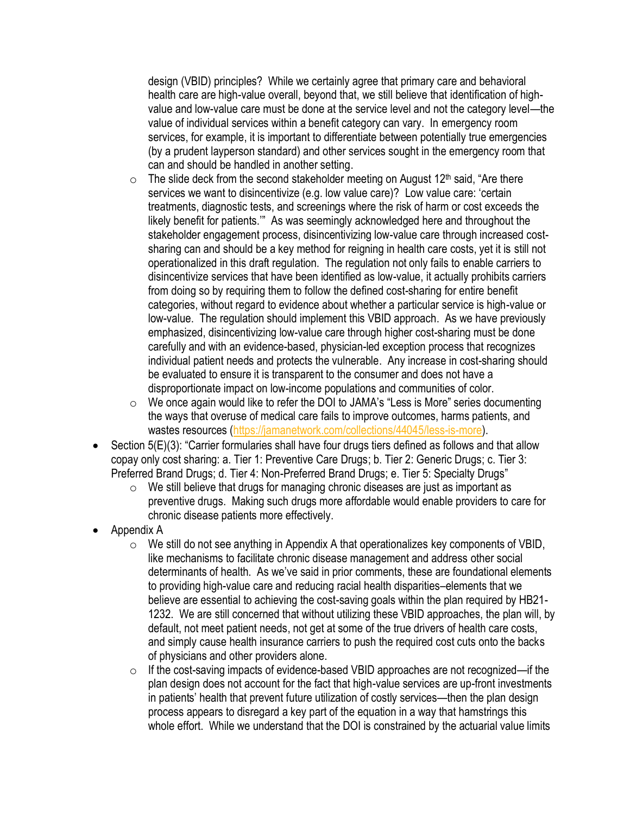design (VBID) principles? While we certainly agree that primary care and behavioral health care are high-value overall, beyond that, we still believe that identification of highvalue and low-value care must be done at the service level and not the category level—the value of individual services within a benefit category can vary. In emergency room services, for example, it is important to differentiate between potentially true emergencies (by a prudent layperson standard) and other services sought in the emergency room that can and should be handled in another setting.

- $\circ$  The slide deck from the second stakeholder meeting on August 12<sup>th</sup> said, "Are there services we want to disincentivize (e.g. low value care)? Low value care: 'certain treatments, diagnostic tests, and screenings where the risk of harm or cost exceeds the likely benefit for patients.'" As was seemingly acknowledged here and throughout the stakeholder engagement process, disincentivizing low-value care through increased costsharing can and should be a key method for reigning in health care costs, yet it is still not operationalized in this draft regulation. The regulation not only fails to enable carriers to disincentivize services that have been identified as low-value, it actually prohibits carriers from doing so by requiring them to follow the defined cost-sharing for entire benefit categories, without regard to evidence about whether a particular service is high-value or low-value. The regulation should implement this VBID approach. As we have previously emphasized, disincentivizing low-value care through higher cost-sharing must be done carefully and with an evidence-based, physician-led exception process that recognizes individual patient needs and protects the vulnerable. Any increase in cost-sharing should be evaluated to ensure it is transparent to the consumer and does not have a disproportionate impact on low-income populations and communities of color.
- o We once again would like to refer the DOI to JAMA's "Less is More" series documenting the ways that overuse of medical care fails to improve outcomes, harms patients, and wastes resources [\(https://jamanetwork.com/collections/44045/less-is-more\)](https://jamanetwork.com/collections/44045/less-is-more).
- Section 5(E)(3): "Carrier formularies shall have four drugs tiers defined as follows and that allow copay only cost sharing: a. Tier 1: Preventive Care Drugs; b. Tier 2: Generic Drugs; c. Tier 3: Preferred Brand Drugs; d. Tier 4: Non-Preferred Brand Drugs; e. Tier 5: Specialty Drugs"
	- $\circ$  We still believe that drugs for managing chronic diseases are just as important as preventive drugs. Making such drugs more affordable would enable providers to care for chronic disease patients more effectively.
- Appendix A
	- $\circ$  We still do not see anything in Appendix A that operationalizes key components of VBID, like mechanisms to facilitate chronic disease management and address other social determinants of health. As we've said in prior comments, these are foundational elements to providing high-value care and reducing racial health disparities–elements that we believe are essential to achieving the cost-saving goals within the plan required by HB21- 1232. We are still concerned that without utilizing these VBID approaches, the plan will, by default, not meet patient needs, not get at some of the true drivers of health care costs, and simply cause health insurance carriers to push the required cost cuts onto the backs of physicians and other providers alone.
	- o If the cost-saving impacts of evidence-based VBID approaches are not recognized—if the plan design does not account for the fact that high-value services are up-front investments in patients' health that prevent future utilization of costly services—then the plan design process appears to disregard a key part of the equation in a way that hamstrings this whole effort. While we understand that the DOI is constrained by the actuarial value limits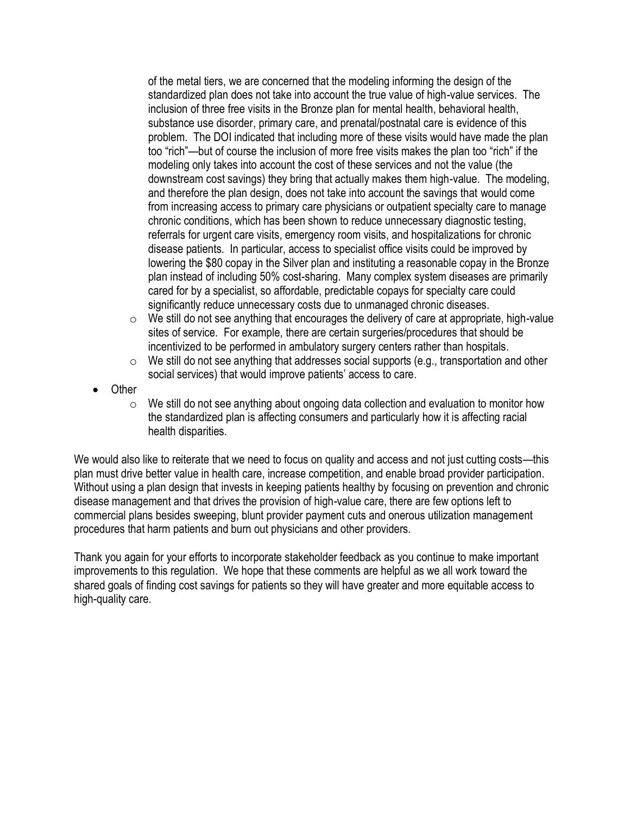of the metal tiers, we are concerned that the modeling informing the design of the standardized plan does not take into account the true value of high-value services. The inclusion of three free visits in the Bronze plan for mental health, behavioral health, substance use disorder, primary care, and prenatal/postnatal care is evidence of this problem. The DOI indicated that including more of these visits would have made the plan too "rich"—but of course the inclusion of more free visits makes the plan too "rich" if the modeling only takes into account the cost of these services and not the value (the downstream cost savings) they bring that actually makes them high-value. The modeling, and therefore the plan design, does not take into account the savings that would come from increasing access to primary care physicians or outpatient specialty care to manage chronic conditions, which has been shown to reduce unnecessary diagnostic testing, referrals for urgent care visits, emergency room visits, and hospitalizations for chronic disease patients. In particular, access to specialist office visits could be improved by lowering the \$80 copay in the Silver plan and instituting a reasonable copay in the Bronze plan instead of including 50% cost-sharing. Many complex system diseases are primarily cared for by a specialist, so affordable, predictable copays for specialty care could significantly reduce unnecessary costs due to unmanaged chronic diseases.

- $\circ$  We still do not see anything that encourages the delivery of care at appropriate, high-value sites of service. For example, there are certain surgeries/procedures that should be incentivized to be performed in ambulatory surgery centers rather than hospitals.
- $\circ$  We still do not see anything that addresses social supports (e.g., transportation and other social services) that would improve patients' access to care.
- Other
	- $\circ$  We still do not see anything about ongoing data collection and evaluation to monitor how the standardized plan is affecting consumers and particularly how it is affecting racial health disparities.

We would also like to reiterate that we need to focus on quality and access and not just cutting costs—this plan must drive better value in health care, increase competition, and enable broad provider participation. Without using a plan design that invests in keeping patients healthy by focusing on prevention and chronic disease management and that drives the provision of high-value care, there are few options left to commercial plans besides sweeping, blunt provider payment cuts and onerous utilization management procedures that harm patients and burn out physicians and other providers.

Thank you again for your efforts to incorporate stakeholder feedback as you continue to make important improvements to this regulation. We hope that these comments are helpful as we all work toward the shared goals of finding cost savings for patients so they will have greater and more equitable access to high-quality care.